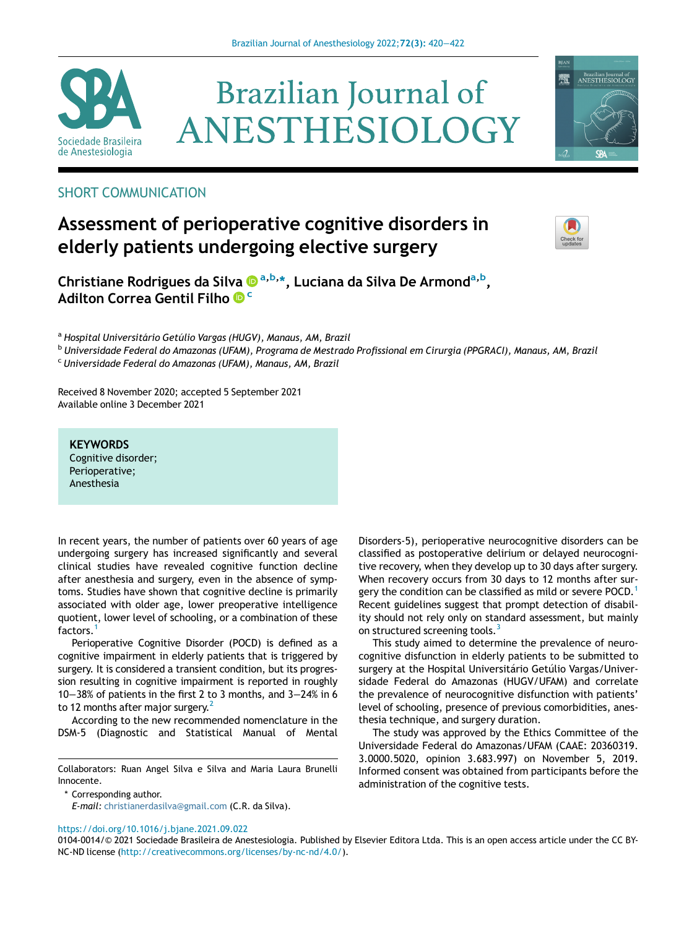

# **Brazilian Journal of** ANESTHESIOLOGY



# SHORT COMMUNICATION

# Assessment of perioperative cognitive disorders in elderly patients undergoing elective surgery



Christiane Rodrigues da Silva ® <sup>[a,b,](http://orcid.org/0000-0002-7735-809X)</sup>[\\*,](http://orcid.org/0000-0002-7735-809X) [Luciana](http://orcid.org/0000-0002-7735-809X) [da](http://orcid.org/0000-0002-7735-809X) [Silva](http://orcid.org/0000-0002-7735-809X) [De](http://orcid.org/0000-0002-7735-809X) Armond<sup>a[,](http://orcid.org/0000-0002-7735-809X)b</sup>, [Adilton Correa Gentil Filho](http://orcid.org/0000-0002-6423-4389) <sup>[c](http://orcid.org/0000-0002-6423-4389)</sup>

<sup>a</sup> Hospital Universitário Getúlio Vargas (HUGV), Manaus, AM, Brazil

<sup>b</sup> Universidade Federal do Amazonas (UFAM), Programa de Mestrado Profissional em Cirurgia (PPGRACI), Manaus, AM, Brazil

<sup>c</sup> Universidade Federal do Amazonas (UFAM), Manaus, AM, Brazil

Received 8 November 2020; accepted 5 September 2021 Available online 3 December 2021

#### **KEYWORDS**

Cognitive disorder; Perioperative; Anesthesia

In recent years, the number of patients over 60 years of age undergoing surgery has increased significantly and several clinical studies have revealed cognitive function decline after anesthesia and surgery, even in the absence of symptoms. Studies have shown that cognitive decline is primarily associated with older age, lower preoperative intelligence quotient, lower level of schooling, or a combination of these factors.

Perioperative Cognitive Disorder (POCD) is defined as a cognitive impairment in elderly patients that is triggered by surgery. It is considered a transient condition, but its progression resulting in cognitive impairment is reported in roughly 10−38% of patients in the first 2 to 3 months, and 3−24% in 6 to 12 months after major surgery.

According to the new recommended nomenclature in the DSM-5 (Diagnostic and Statistical Manual of Mental

Collaborators: Ruan Angel Silva e Silva and Maria Laura Brunelli Innocente.

\* Corresponding author.

E-mail: [christianerdasilva@gmail.com](mailto:christianerdasilva@gmail.com) (C.R. da Silva).

Disorders-5), perioperative neurocognitive disorders can be classified as postoperative delirium or delayed neurocognitive recovery, when they develop up to 30 days after surgery. When recovery occurs from 30 days to 12 months after sur-gery the condition can be classified as mild or severe POCD.<sup>[1](#page-2-0)</sup> Recent guidelines suggest that prompt detection of disability should not rely only on standard assessment, but mainly on structured screening tools.<sup>[3](#page-2-2)</sup>

This study aimed to determine the prevalence of neurocognitive disfunction in elderly patients to be submitted to surgery at the Hospital Universitário Getúlio Vargas/Universidade Federal do Amazonas (HUGV/UFAM) and correlate the prevalence of neurocognitive disfunction with patients' level of schooling, presence of previous comorbidities, anesthesia technique, and surgery duration.

The study was approved by the Ethics Committee of the Universidade Federal do Amazonas/UFAM (CAAE: 20360319. 3.0000.5020, opinion 3.683.997) on November 5, 2019. Informed consent was obtained from participants before the administration of the cognitive tests.

<https://doi.org/10.1016/j.bjane.2021.09.022>

<sup>0104-0014/© 2021</sup> Sociedade Brasileira de Anestesiologia. Published by Elsevier Editora Ltda. This is an open access article under the CC BY-NC-ND license [\(http://creativecommons.org/licenses/by-nc-nd/4.0/](http://creativecommons.org/licenses/by-nc-nd/4.0/)).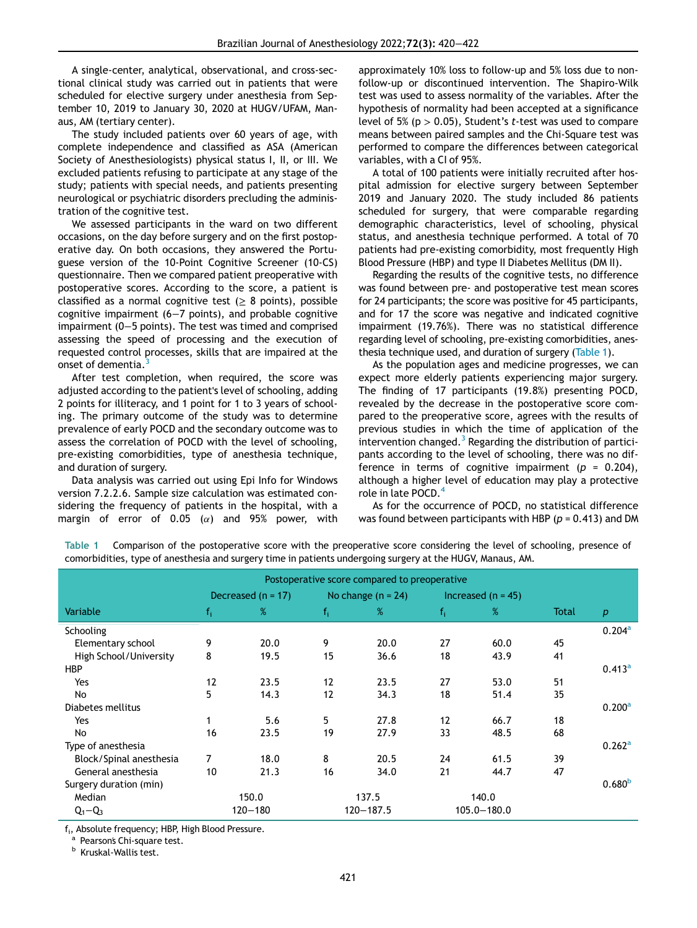A single-center, analytical, observational, and cross-sectional clinical study was carried out in patients that were scheduled for elective surgery under anesthesia from September 10, 2019 to January 30, 2020 at HUGV/UFAM, Manaus, AM (tertiary center).

The study included patients over 60 years of age, with complete independence and classified as ASA (American Society of Anesthesiologists) physical status I, II, or III. We excluded patients refusing to participate at any stage of the study; patients with special needs, and patients presenting neurological or psychiatric disorders precluding the administration of the cognitive test.

We assessed participants in the ward on two different occasions, on the day before surgery and on the first postoperative day. On both occasions, they answered the Portuguese version of the 10-Point Cognitive Screener (10-CS) questionnaire. Then we compared patient preoperative with postoperative scores. According to the score, a patient is classified as a normal cognitive test ( $\geq$  8 points), possible cognitive impairment (6−7 points), and probable cognitive impairment (0−5 points). The test was timed and comprised assessing the speed of processing and the execution of requested control processes, skills that are impaired at the onset of dementia.

After test completion, when required, the score was adjusted according to the patient's level of schooling, adding 2 points for illiteracy, and 1 point for 1 to 3 years of schooling. The primary outcome of the study was to determine prevalence of early POCD and the secondary outcome was to assess the correlation of POCD with the level of schooling, pre-existing comorbidities, type of anesthesia technique, and duration of surgery.

Data analysis was carried out using Epi Info for Windows version 7.2.2.6. Sample size calculation was estimated considering the frequency of patients in the hospital, with a margin of error of 0.05 ( $\alpha$ ) and 95% power, with

approximately 10% loss to follow-up and 5% loss due to nonfollow-up or discontinued intervention. The Shapiro-Wilk test was used to assess normality of the variables. After the hypothesis of normality had been accepted at a significance level of 5% ( $p > 0.05$ ), Student's t-test was used to compare means between paired samples and the Chi-Square test was performed to compare the differences between categorical variables, with a CI of 95%.

A total of 100 patients were initially recruited after hospital admission for elective surgery between September 2019 and January 2020. The study included 86 patients scheduled for surgery, that were comparable regarding demographic characteristics, level of schooling, physical status, and anesthesia technique performed. A total of 70 patients had pre-existing comorbidity, most frequently High Blood Pressure (HBP) and type II Diabetes Mellitus (DM II).

Regarding the results of the cognitive tests, no difference was found between pre- and postoperative test mean scores for 24 participants; the score was positive for 45 participants, and for 17 the score was negative and indicated cognitive impairment (19.76%). There was no statistical difference regarding level of schooling, pre-existing comorbidities, anesthesia technique used, and duration of surgery ([Table 1](#page-1-0)).

As the population ages and medicine progresses, we can expect more elderly patients experiencing major surgery. The finding of 17 participants (19.8%) presenting POCD, revealed by the decrease in the postoperative score compared to the preoperative score, agrees with the results of previous studies in which the time of application of the intervention changed. $3$  Regarding the distribution of participants according to the level of schooling, there was no difference in terms of cognitive impairment ( $p = 0.204$ ), although a higher level of education may play a protective role in late POCD.[4](#page-2-3)

As for the occurrence of POCD, no statistical difference was found between participants with HBP ( $p = 0.413$ ) and DM

Postoperative score compared to preoperative Decreased (n = 17) No change (n = 24) Increased (n = 45) Variable field  $\mathsf{f_i}$  ,  $\mathscr{C}_\mathsf{f}$  ,  $\mathscr{C}_\mathsf{f}$  ,  $\mathscr{C}_\mathsf{f}$  ,  $\mathscr{C}_\mathsf{f}$  ,  $\mathscr{C}_\mathsf{f}$  ,  $\mathscr{C}_\mathsf{f}$  ,  $\mathscr{C}_\mathsf{f}$  ,  $\mathscr{C}_\mathsf{f}$  ,  $\mathscr{C}_\mathsf{f}$  ,  $\mathscr{C}_\mathsf{f}$  ,  $\mathscr{C}_\mathsf{f}$  ,  $\mathscr{C}_$ Schooling  $0.204^{\circ}$ 

<span id="page-1-0"></span>

| Postoperative score compared to preoperative                                                                              |
|---------------------------------------------------------------------------------------------------------------------------|
| comorbidities, type of anesthesia and surgery time in patients undergoing surgery at the HUGV, Manaus, AM.                |
| Table T Comparison of the postoperative score with the preoperative score considering the level of schooling, presence or |

Table 1 Comparison of the postoperative score with the preoperative score considering the level of schooling, presence of

|                         | Decreased $(n = 17)$ |      | No change $(n = 24)$ |      | Increased $(n = 45)$    |      |              |                    |
|-------------------------|----------------------|------|----------------------|------|-------------------------|------|--------------|--------------------|
| Variable                | $f_i$                | %    | $f_i$                | %    | $\mathsf{f}_\mathsf{i}$ | %    | <b>Total</b> | $\boldsymbol{p}$   |
| Schooling               |                      |      |                      |      |                         |      |              | $0.204^{\rm a}$    |
| Elementary school       | 9                    | 20.0 | 9                    | 20.0 | 27                      | 60.0 | 45           |                    |
| High School/University  | 8                    | 19.5 | 15                   | 36.6 | 18                      | 43.9 | 41           |                    |
| <b>HBP</b>              |                      |      |                      |      |                         |      |              | $0.413^a$          |
| Yes                     | 12                   | 23.5 | 12                   | 23.5 | 27                      | 53.0 | 51           |                    |
| No                      | 5                    | 14.3 | 12                   | 34.3 | 18                      | 51.4 | 35           |                    |
| Diabetes mellitus       |                      |      |                      |      |                         |      |              | 0.200 <sup>a</sup> |
| Yes                     | 1                    | 5.6  | 5                    | 27.8 | 12                      | 66.7 | 18           |                    |
| No                      | 16                   | 23.5 | 19                   | 27.9 | 33                      | 48.5 | 68           |                    |
| Type of anesthesia      |                      |      |                      |      |                         |      |              | $0.262^{\rm a}$    |
| Block/Spinal anesthesia | $\overline{7}$       | 18.0 | 8                    | 20.5 | 24                      | 61.5 | 39           |                    |
| General anesthesia      | 10                   | 21.3 | 16                   | 34.0 | 21                      | 44.7 | 47           |                    |
| Surgery duration (min)  |                      |      |                      |      |                         |      |              | 0.680 <sup>b</sup> |
| Median                  | 150.0                |      | 137.5                |      | 140.0                   |      |              |                    |
| $Q_1 - Q_3$             | $120 - 180$          |      | $120 - 187.5$        |      | $105.0 - 180.0$         |      |              |                    |

<span id="page-1-1"></span>f<sub>i</sub>, Absolute frequency; HBP, High Blood Pressure.<br><sup>a</sup> Pearson's Chi-square test.

 $^{\rm b}$  Kruskal-Wallis test.